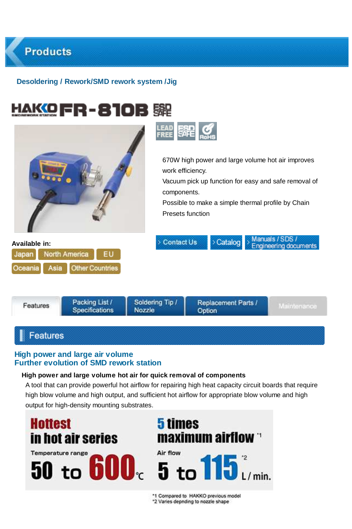



## **Features**

**Products** 

### **High power and large air volume Further evolution of SMD rework station**

#### **High power and large volume hot air for quick removal of components**

A tool that can provide powerful hot airflow for repairing high heat capacity circuit boards that require high blow volume and high output, and sufficient hot airflow for appropriate blow volume and high output for high-density mounting substrates.

**Hottest 5 times** maximum airflow in hot air series Air flow **Temperature range**  $50$  to  $600<sub>c</sub>$  5 to  $115<sub>c</sub>$ 

> \*1 Compared to HAKKO previous model \*2 Varies depnding to nozzle shape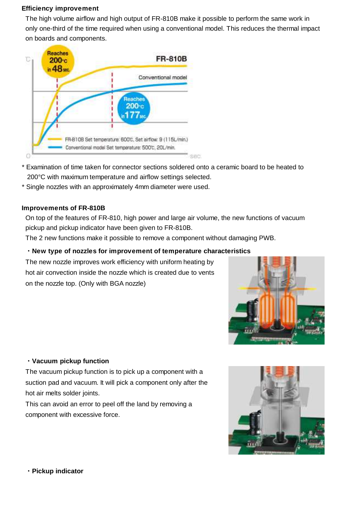#### **Efficiency improvement**

The high volume airflow and high output of FR-810B make it possible to perform the same work in only one-third of the time required when using a conventional model. This reduces the thermal impact on boards and components.



- \* Examination of time taken for connector sections soldered onto a ceramic board to be heated to 200°C with maximum temperature and airflow settings selected.
- \* Single nozzles with an approximately 4mm diameter were used.

#### **Improvements of FR-810B**

On top of the features of FR-810, high power and large air volume, the new functions of vacuum pickup and pickup indicator have been given to FR-810B.

The 2 new functions make it possible to remove a component without damaging PWB.

### **・New type of nozzles for improvement of temperature characteristics**

The new nozzle improves work efficiency with uniform heating by hot air convection inside the nozzle which is created due to vents on the nozzle top. (Only with BGA nozzle)



#### **・Vacuum pickup function**

The vacuum pickup function is to pick up a component with a suction pad and vacuum. It will pick a component only after the hot air melts solder joints.

This can avoid an error to peel off the land by removing a component with excessive force.



**・Pickup indicator**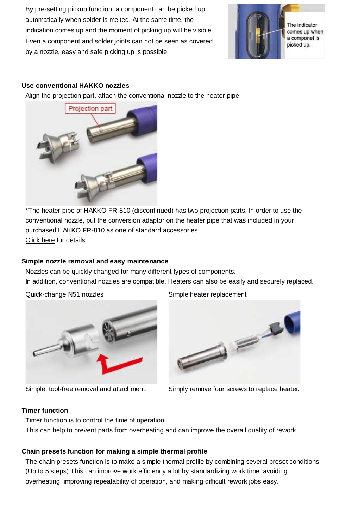By pre-setting pickup function, a component can be picked up automatically when solder is melted. At the same time, the indication comes up and the moment of picking up will be visible. Even a component and solder joints can not be seen as covered by a nozzle, easy and safe picking up is possible.



#### **Use conventional HAKKO nozzles**

Align the projection part, attach the conventional nozzle to the heater pipe.



\*The heater pipe of HAKKO FR-810 (discontinued) has two projection parts. In order to use the conventional nozzle, put the conversion adaptor on the heater pipe that was included in your purchased HAKKO FR-810 as one of standard accessories. Click here for details.

#### **Simple nozzle removal and easy maintenance**

Nozzles can be quickly changed for many different types of components. In addition, conventional nozzles are compatible. Heaters can also be easily and securely replaced.

Quick-change N51 nozzles Simple heater replacement





Simple, tool-free removal and attachment. Simply remove four screws to replace heater.

### **Timer function**

Timer function is to control the time of operation.

This can help to prevent parts from overheating and can improve the overall quality of rework.

#### **Chain presets function for making a simple thermal profile**

The chain presets function is to make a simple thermal profile by combining several preset conditions. (Up to 5 steps) This can improve work efficiency a lot by standardizing work time, avoiding overheating, improving repeatability of operation, and making difficult rework jobs easy.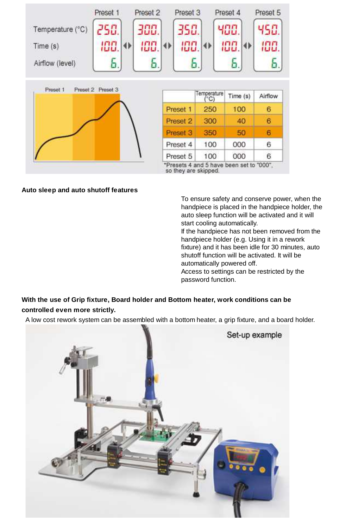

#### **Auto sleep and auto shutoff features**

To ensure safety and conserve power, when the handpiece is placed in the handpiece holder, the auto sleep function will be activated and it will start cooling automatically. If the handpiece has not been removed from the handpiece holder (e.g. Using it in a rework fixture) and it has been idle for 30 minutes, auto shutoff function will be activated. It will be automatically powered off. Access to settings can be restricted by the password function.

## **With the use of Grip fixture, Board holder and Bottom heater, work conditions can be controlled even more strictly.**

A low cost rework system can be assembled with a bottom heater, a grip fixture, and a board holder.